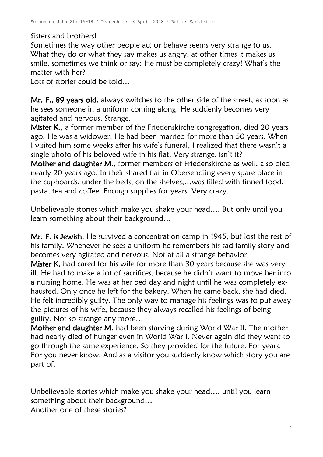Sisters and brothers!

Sometimes the way other people act or behave seems very strange to us. What they do or what they say makes us angry, at other times it makes us smile, sometimes we think or say: He must be completely crazy! What's the matter with her?

Lots of stories could be told…

Mr. F., 89 years old, always switches to the other side of the street, as soon as he sees someone in a uniform coming along. He suddenly becomes very agitated and nervous. Strange.

Mister K., a former member of the Friedenskirche congregation, died 20 years ago. He was a widower. He had been married for more than 50 years. When I visited him some weeks after his wife's funeral, I realized that there wasn't a single photo of his beloved wife in his flat. Very strange, isn't it?

Mother and daughter M., former members of Friedenskirche as well, also died nearly 20 years ago. In their shared flat in Obersendling every spare place in the cupboards, under the beds, on the shelves,…was filled with tinned food, pasta, tea and coffee. Enough supplies for years. Very crazy.

Unbelievable stories which make you shake your head…. But only until you learn something about their background…

Mr. F. is Jewish. He survived a concentration camp in 1945, but lost the rest of his family. Whenever he sees a uniform he remembers his sad family story and becomes very agitated and nervous. Not at all a strange behavior.

Mister K. had cared for his wife for more than 30 years because she was very ill. He had to make a lot of sacrifices, because he didn't want to move her into a nursing home. He was at her bed day and night until he was completely exhausted. Only once he left for the bakery. When he came back, she had died. He felt incredibly guilty. The only way to manage his feelings was to put away the pictures of his wife, because they always recalled his feelings of being guilty. Not so strange any more…

Mother and daughter M. had been starving during World War II. The mother had nearly died of hunger even in World War I. Never again did they want to go through the same experience. So they provided for the future. For years. For you never know. And as a visitor you suddenly know which story you are part of.

Unbelievable stories which make you shake your head…. until you learn something about their background… Another one of these stories?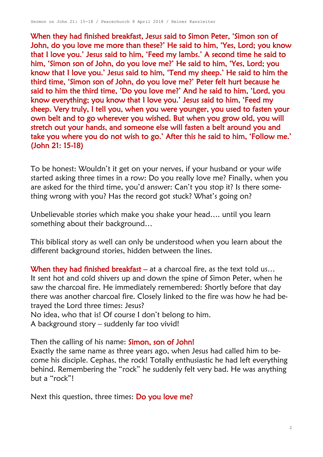When they had finished breakfast, Jesus said to Simon Peter, 'Simon son of John, do you love me more than these?' He said to him, 'Yes, Lord; you know that I love you.' Jesus said to him, 'Feed my lambs.' A second time he said to him, 'Simon son of John, do you love me?' He said to him, 'Yes, Lord; you know that I love you.' Jesus said to him, 'Tend my sheep.' He said to him the third time, 'Simon son of John, do you love me?' Peter felt hurt because he said to him the third time, 'Do you love me?' And he said to him, 'Lord, you know everything; you know that I love you.' Jesus said to him, 'Feed my sheep. Very truly, I tell you, when you were younger, you used to fasten your own belt and to go wherever you wished. But when you grow old, you will stretch out your hands, and someone else will fasten a belt around you and take you where you do not wish to go.' After this he said to him, 'Follow me.' (John 21: 15-18)

To be honest: Wouldn't it get on your nerves, if your husband or your wife started asking three times in a row: Do you really love me? Finally, when you are asked for the third time, you'd answer: Can't you stop it? Is there something wrong with you? Has the record got stuck? What's going on?

Unbelievable stories which make you shake your head…. until you learn something about their background…

This biblical story as well can only be understood when you learn about the different background stories, hidden between the lines.

When they had finished breakfast – at a charcoal fire, as the text told us... [It](http://www.dict.cc/englisch-deutsch/It.html) [sent](http://www.dict.cc/englisch-deutsch/sends.html) hot and [cold](http://www.dict.cc/englisch-deutsch/cold.html) [shivers](http://www.dict.cc/englisch-deutsch/shivers.html) [up](http://www.dict.cc/englisch-deutsch/up.html) [and](http://www.dict.cc/englisch-deutsch/and.html) [down](http://www.dict.cc/englisch-deutsch/down.html) [the](http://www.dict.cc/englisch-deutsch/my.html) [spine](http://www.dict.cc/englisch-deutsch/spine..html) of Simon Peter, when he saw the charcoal fire. He immediately remembered: Shortly before that day there was another charcoal fire. Closely linked to the fire was how he had betrayed the Lord three times: Jesus?

No idea, who that is! Of course I don't belong to him.

A background story – suddenly far too vivid!

Then the calling of his name: **Simon**, son of John!

Exactly the same name as three years ago, when Jesus had called him to become his disciple. Cephas, the rock! Totally enthusiastic he had left everything behind. Remembering the "rock" he suddenly felt very bad. He was anything but a "rock"!

Next this question, three times: Do you love me?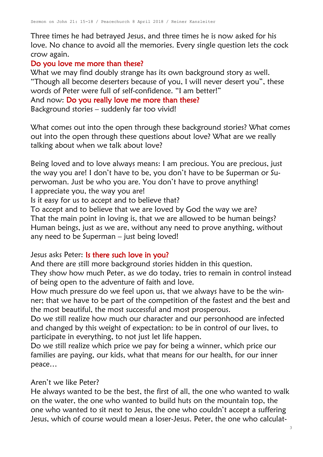Three times he had betrayed Jesus, and three times he is now asked for his love. No chance to avoid all the memories. Every single question lets the cock crow again.

# Do you love me more than these?

What we may find doubly strange has its own background story as well. "Though all become deserters because of you, I will never desert you", these words of Peter were full of self-confidence. "I am better!"

And now: Do you really love me more than these?

Background stories – suddenly far too vivid!

What comes out into the open through these background stories? What comes out into the open through these questions about love? What are we really talking about when we talk about love?

Being loved and to love always means: I am precious. You are precious, just the way you are! I don't have to be, you don't have to be Superman or Superwoman. Just be who you are. You don't have to prove anything! I appreciate you, the way you are!

Is it easy for us to accept and to believe that?

To accept and to believe that we are loved by God the way we are? That the main point in loving is, that we are allowed to be human beings? Human beings, just as we are, without any need to prove anything, without any need to be Superman – just being loved!

## Jesus asks Peter: Is there such love in you?

And there are still more background stories hidden in this question.

They show how much Peter, as we do today, tries to remain in control instead of being open to the adventure of faith and love.

How much pressure do we feel upon us, that we always have to be the winner; that we have to be part of the competition of the fastest and the best and the most beautiful, the most successful and most prosperous.

Do we still realize how much our character and our personhood are infected and changed by this weight of expectation: to be in control of our lives, to participate in everything, to not just let life happen.

Do we still realize which price we pay for being a winner, which price our families are paying, our kids, what that means for our health, for our inner peace…

#### Aren't we like Peter?

He always wanted to be the best, the first of all, the one who wanted to walk on the water, the one who wanted to build huts on the mountain top, the one who wanted to sit next to Jesus, the one who couldn't accept a suffering Jesus, which of course would mean a loser-Jesus. Peter, the one who calculat-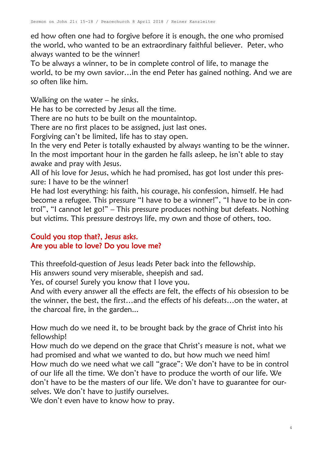ed how often one had to forgive before it is enough, the one who promised the world, who wanted to be an extraordinary faithful believer. Peter, who always wanted to be the winner!

To be always a winner, to be in complete control of life, to manage the world, to be my own savior…in the end Peter has gained nothing. And we are so often like him.

Walking on the water – he sinks.

He has to be corrected by Jesus all the time.

There are no huts to be built on the mountaintop.

There are no first places to be assigned, just last ones.

Forgiving can't be limited, life has to stay open.

In the very end Peter is totally exhausted by always wanting to be the winner. In the most important hour in the garden he falls asleep, he isn't able to stay awake and pray with Jesus.

All of his love for Jesus, which he had promised, has got lost under this pressure: I have to be the winner!

He had lost everything: his faith, his courage, his confession, himself. He had become a refugee. This pressure "I have to be a winner!", "I have to be in control", "I cannot let go!" – This pressure produces nothing but defeats. Nothing but victims. This pressure destroys life, my own and those of others, too.

## Could you stop that?, Jesus asks. Are you able to love? Do you love me?

This threefold-question of Jesus leads Peter back into the fellowship.

His answers sound very miserable, sheepish and sad.

Yes, of course! Surely you know that I love you.

And with every answer all the effects are felt, the effects of his obsession to be the winner, the best, the first…and the effects of his defeats…on the water, at the charcoal fire, in the garden...

How much do we need it, to be brought back by the grace of Christ into his fellowship!

How much do we depend on the grace that Christ's measure is not, what we had promised and what we wanted to do, but how much we need him! How much do we need what we call "grace": We don't have to be in control of our life all the time. We don't have to produce the worth of our life. We don't have to be the masters of our life. We don't have to guarantee for ourselves. We don't have to justify ourselves.

We don't even have to know how to pray.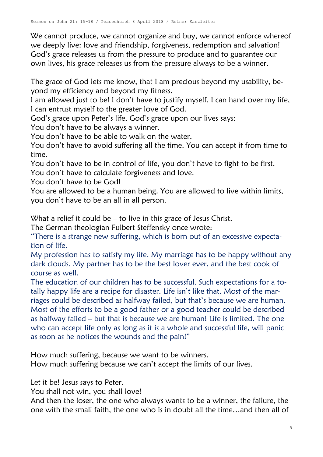We cannot produce, we cannot organize and buy, we cannot enforce whereof we deeply live: love and friendship, forgiveness, redemption and salvation! God's grace releases us from the pressure to produce and to guarantee our own lives, his grace releases us from the pressure always to be a winner.

The grace of God lets me know, that I am precious beyond my usability, beyond my efficiency and beyond my fitness.

I am allowed just to be! I don't have to justify myself. I can hand over my life, I can entrust myself to the greater love of God.

God's grace upon Peter's life, God's grace upon our lives says:

You don't have to be always a winner.

You don't have to be able to walk on the water.

You don't have to avoid suffering all the time. You can accept it from time to time.

You don't have to be in control of life, you don't have to fight to be first.

You don't have to calculate forgiveness and love.

You don't have to be God!

You are allowed to be a human being. You are allowed to live within limits, you don't have to be an all in all person.

What a relief it could be – to live in this grace of Jesus Christ.

The German theologian Fulbert Steffensky once wrote:

"There is a strange new suffering, which is born out of an excessive expectation of life.

My profession has to satisfy my life. My marriage has to be happy without any dark clouds. My partner has to be the best lover ever, and the best cook of course as well.

The education of our children has to be successful. Such expectations for a totally happy life are a recipe for disaster. Life isn't like that. Most of the marriages could be described as halfway failed, but that's because we are human. Most of the efforts to be a good father or a good teacher could be described as halfway failed – but that is because we are human! Life is limited. The one who can accept life only as long as it is a whole and successful life, will panic as soon as he notices the wounds and the pain!"

How much suffering, because we want to be winners.

How much suffering because we can't accept the limits of our lives.

Let it be! Jesus says to Peter.

You shall not win, you shall love!

And then the loser, the one who always wants to be a winner, the failure, the one with the small faith, the one who is in doubt all the time…and then all of